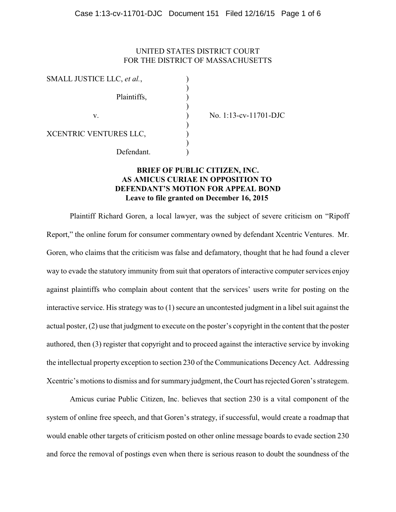## UNITED STATES DISTRICT COURT FOR THE DISTRICT OF MASSACHUSETTS

| SMALL JUSTICE LLC, et al., |  |
|----------------------------|--|
|                            |  |
| Plaintiffs,                |  |
|                            |  |
| V.                         |  |
|                            |  |
| XCENTRIC VENTURES LLC,     |  |
|                            |  |
| Defendant.                 |  |
|                            |  |

v. ) No. 1:13-cv-11701-DJC

# **BRIEF OF PUBLIC CITIZEN, INC. AS AMICUS CURIAE IN OPPOSITION TO DEFENDANT'S MOTION FOR APPEAL BOND Leave to file granted on December 16, 2015**

Plaintiff Richard Goren, a local lawyer, was the subject of severe criticism on "Ripoff Report," the online forum for consumer commentary owned by defendant Xcentric Ventures. Mr. Goren, who claims that the criticism was false and defamatory, thought that he had found a clever way to evade the statutory immunity from suit that operators of interactive computer services enjoy against plaintiffs who complain about content that the services' users write for posting on the interactive service. His strategy was to (1) secure an uncontested judgment in a libel suit against the actual poster, (2) use that judgment to execute on the poster's copyright in the content that the poster authored, then (3) register that copyright and to proceed against the interactive service by invoking the intellectual property exception to section 230 of the Communications DecencyAct. Addressing Xcentric's motions to dismiss and for summary judgment, the Court has rejected Goren's strategem.

Amicus curiae Public Citizen, Inc. believes that section 230 is a vital component of the system of online free speech, and that Goren's strategy, if successful, would create a roadmap that would enable other targets of criticism posted on other online message boards to evade section 230 and force the removal of postings even when there is serious reason to doubt the soundness of the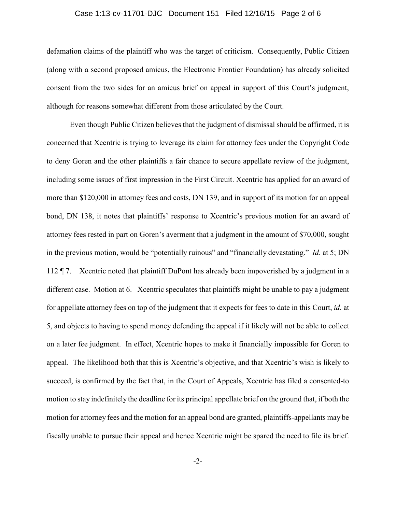#### Case 1:13-cv-11701-DJC Document 151 Filed 12/16/15 Page 2 of 6

defamation claims of the plaintiff who was the target of criticism. Consequently, Public Citizen (along with a second proposed amicus, the Electronic Frontier Foundation) has already solicited consent from the two sides for an amicus brief on appeal in support of this Court's judgment, although for reasons somewhat different from those articulated by the Court.

Even though Public Citizen believes that the judgment of dismissal should be affirmed, it is concerned that Xcentric is trying to leverage its claim for attorney fees under the Copyright Code to deny Goren and the other plaintiffs a fair chance to secure appellate review of the judgment, including some issues of first impression in the First Circuit. Xcentric has applied for an award of more than \$120,000 in attorney fees and costs, DN 139, and in support of its motion for an appeal bond, DN 138, it notes that plaintiffs' response to Xcentric's previous motion for an award of attorney fees rested in part on Goren's averment that a judgment in the amount of \$70,000, sought in the previous motion, would be "potentially ruinous" and "financially devastating." *Id.* at 5; DN 112 ¶ 7. Xcentric noted that plaintiff DuPont has already been impoverished by a judgment in a different case. Motion at 6. Xcentric speculates that plaintiffs might be unable to pay a judgment for appellate attorney fees on top of the judgment that it expects for fees to date in this Court, *id.* at 5, and objects to having to spend money defending the appeal if it likely will not be able to collect on a later fee judgment. In effect, Xcentric hopes to make it financially impossible for Goren to appeal. The likelihood both that this is Xcentric's objective, and that Xcentric's wish is likely to succeed, is confirmed by the fact that, in the Court of Appeals, Xcentric has filed a consented-to motion to stay indefinitely the deadline for its principal appellate brief on the ground that, if both the motion for attorney fees and the motion for an appeal bond are granted, plaintiffs-appellants may be fiscally unable to pursue their appeal and hence Xcentric might be spared the need to file its brief.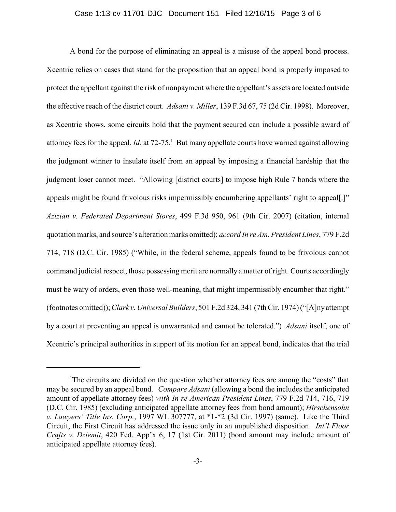A bond for the purpose of eliminating an appeal is a misuse of the appeal bond process. Xcentric relies on cases that stand for the proposition that an appeal bond is properly imposed to protect the appellant against the risk of nonpayment where the appellant's assets are located outside the effective reach of the district court. *Adsani v. Miller*, 139 F.3d 67, 75 (2d Cir. 1998). Moreover, as Xcentric shows, some circuits hold that the payment secured can include a possible award of attorney fees for the appeal. *Id*. at 72-75.<sup>1</sup> But many appellate courts have warned against allowing the judgment winner to insulate itself from an appeal by imposing a financial hardship that the judgment loser cannot meet. "Allowing [district courts] to impose high Rule 7 bonds where the appeals might be found frivolous risks impermissibly encumbering appellants' right to appeal[.]" *Azizian v. Federated Department Stores*, 499 F.3d 950, 961 (9th Cir. 2007) (citation, internal quotation marks, and source's alteration marks omitted); *accord In re Am. President Lines*, 779 F.2d 714, 718 (D.C. Cir. 1985) ("While, in the federal scheme, appeals found to be frivolous cannot command judicial respect, those possessing merit are normally a matter of right. Courts accordingly must be wary of orders, even those well-meaning, that might impermissibly encumber that right." (footnotes omitted)); *Clark v. Universal Builders*, 501 F.2d 324, 341 (7th Cir. 1974) ("[A]ny attempt by a court at preventing an appeal is unwarranted and cannot be tolerated.") *Adsani* itself, one of Xcentric's principal authorities in support of its motion for an appeal bond, indicates that the trial

<sup>&</sup>lt;sup>1</sup>The circuits are divided on the question whether attorney fees are among the "costs" that may be secured by an appeal bond. *Compare Adsani* (allowing a bond the includes the anticipated amount of appellate attorney fees) *with In re American President Lines*, 779 F.2d 714, 716, 719 (D.C. Cir. 1985) (excluding anticipated appellate attorney fees from bond amount); *Hirschensohn v. Lawyers' Title Ins. Corp.*, 1997 WL 307777, at \*1-\*2 (3d Cir. 1997) (same). Like the Third Circuit, the First Circuit has addressed the issue only in an unpublished disposition. *Int'l Floor Crafts v. Dziemit*, 420 Fed. App'x 6, 17 (1st Cir. 2011) (bond amount may include amount of anticipated appellate attorney fees).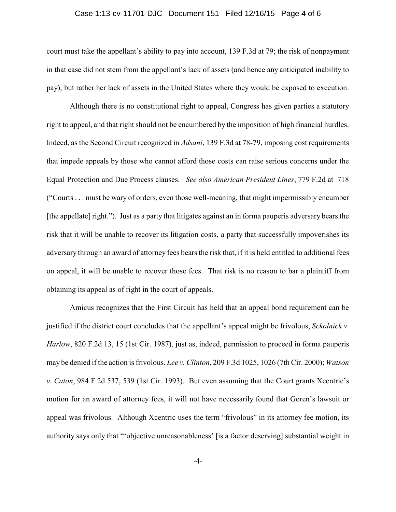#### Case 1:13-cv-11701-DJC Document 151 Filed 12/16/15 Page 4 of 6

court must take the appellant's ability to pay into account, 139 F.3d at 79; the risk of nonpayment in that case did not stem from the appellant's lack of assets (and hence any anticipated inability to pay), but rather her lack of assets in the United States where they would be exposed to execution.

Although there is no constitutional right to appeal, Congress has given parties a statutory right to appeal, and that right should not be encumbered by the imposition of high financial hurdles. Indeed, as the Second Circuit recognized in *Adsani*, 139 F.3d at 78-79, imposing cost requirements that impede appeals by those who cannot afford those costs can raise serious concerns under the Equal Protection and Due Process clauses. *See also American President Lines*, 779 F.2d at 718 ("Courts . . . must be wary of orders, even those well-meaning, that might impermissibly encumber [the appellate] right."). Just as a party that litigates against an in forma pauperis adversary bears the risk that it will be unable to recover its litigation costs, a party that successfully impoverishes its adversary through an award of attorney fees bears the risk that, if it is held entitled to additional fees on appeal, it will be unable to recover those fees. That risk is no reason to bar a plaintiff from obtaining its appeal as of right in the court of appeals.

Amicus recognizes that the First Circuit has held that an appeal bond requirement can be justified if the district court concludes that the appellant's appeal might be frivolous, *Sckolnick v. Harlow*, 820 F.2d 13, 15 (1st Cir. 1987), just as, indeed, permission to proceed in forma pauperis may be denied if the action is frivolous. *Lee v. Clinton*, 209 F.3d 1025, 1026 (7th Cir. 2000); *Watson v. Caton*, 984 F.2d 537, 539 (1st Cir. 1993). But even assuming that the Court grants Xcentric's motion for an award of attorney fees, it will not have necessarily found that Goren's lawsuit or appeal was frivolous. Although Xcentric uses the term "frivolous" in its attorney fee motion, its authority says only that "'objective unreasonableness' [is a factor deserving] substantial weight in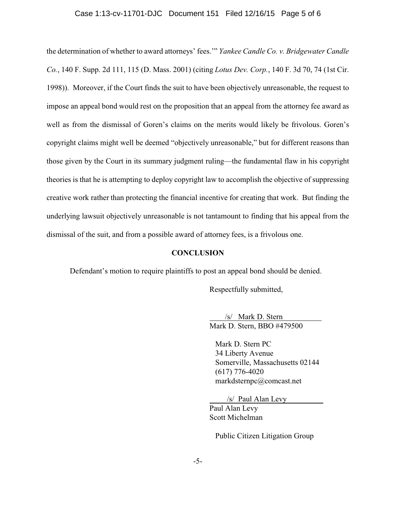## Case 1:13-cv-11701-DJC Document 151 Filed 12/16/15 Page 5 of 6

the determination of whether to award attorneys' fees.'" *Yankee Candle Co. v. Bridgewater Candle Co.*, 140 F. Supp. 2d 111, 115 (D. Mass. 2001) (citing *Lotus Dev. Corp.*, 140 F. 3d 70, 74 (1st Cir. 1998)). Moreover, if the Court finds the suit to have been objectively unreasonable, the request to impose an appeal bond would rest on the proposition that an appeal from the attorney fee award as well as from the dismissal of Goren's claims on the merits would likely be frivolous. Goren's copyright claims might well be deemed "objectively unreasonable," but for different reasons than those given by the Court in its summary judgment ruling—the fundamental flaw in his copyright theories is that he is attempting to deploy copyright law to accomplish the objective of suppressing creative work rather than protecting the financial incentive for creating that work. But finding the underlying lawsuit objectively unreasonable is not tantamount to finding that his appeal from the dismissal of the suit, and from a possible award of attorney fees, is a frivolous one.

## **CONCLUSION**

Defendant's motion to require plaintiffs to post an appeal bond should be denied.

Respectfully submitted,

 /s/ Mark D. Stern Mark D. Stern, BBO #479500

 Mark D. Stern PC 34 Liberty Avenue Somerville, Massachusetts 02144 (617) 776-4020 markdsternpc@comcast.net

/s/ Paul Alan Levy

Paul Alan Levy Scott Michelman

Public Citizen Litigation Group